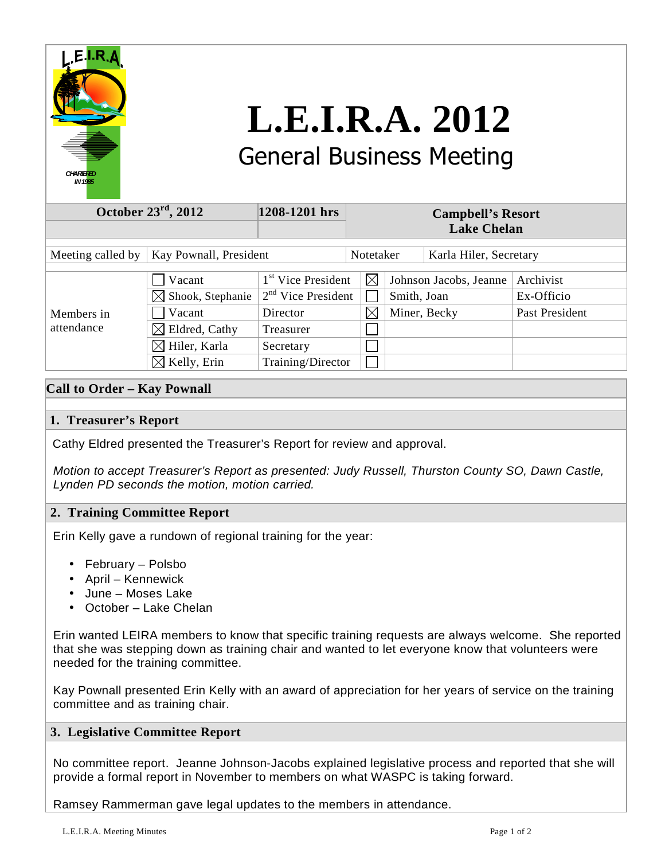

# **L.E.I.R.A. 2012**  General Business Meeting

| October $23^{\text{rd}}$ , 2012             |                                                                                                                                          | 1208-1201 hrs                                                                                                     | <b>Campbell's Resort</b><br><b>Lake Chelan</b> |             |                                        |                                           |
|---------------------------------------------|------------------------------------------------------------------------------------------------------------------------------------------|-------------------------------------------------------------------------------------------------------------------|------------------------------------------------|-------------|----------------------------------------|-------------------------------------------|
| Meeting called by<br>Kay Pownall, President |                                                                                                                                          |                                                                                                                   | Notetaker                                      |             | Karla Hiler, Secretary                 |                                           |
| Members in<br>attendance                    | Vacant<br>Shook, Stephanie<br>$\bowtie$<br>Vacant<br>Eldred, Cathy<br>$\boxtimes$<br>$\boxtimes$ Hiler, Karla<br>$\boxtimes$ Kelly, Erin | 1 <sup>st</sup> Vice President<br>$2nd$ Vice President<br>Director<br>Treasurer<br>Secretary<br>Training/Director | $\boxtimes$<br>$\boxtimes$                     | Smith, Joan | Johnson Jacobs, Jeanne<br>Miner, Becky | Archivist<br>Ex-Officio<br>Past President |

# **Call to Order – Kay Pownall**

## **1. Treasurer's Report**

Cathy Eldred presented the Treasurer's Report for review and approval.

 Motion to accept Treasurer's Report as presented: Judy Russell, Thurston County SO, Dawn Castle, Lynden PD seconds the motion, motion carried.

## **2. Training Committee Report**

Erin Kelly gave a rundown of regional training for the year:

- February Polsbo
- April Kennewick
- June Moses Lake
- October Lake Chelan

 Erin wanted LEIRA members to know that specific training requests are always welcome. She reported that she was stepping down as training chair and wanted to let everyone know that volunteers were needed for the training committee.

 Kay Pownall presented Erin Kelly with an award of appreciation for her years of service on the training committee and as training chair.

## **3. Legislative Committee Report**

 No committee report. Jeanne Johnson-Jacobs explained legislative process and reported that she will provide a formal report in November to members on what WASPC is taking forward.

Ramsey Rammerman gave legal updates to the members in attendance.